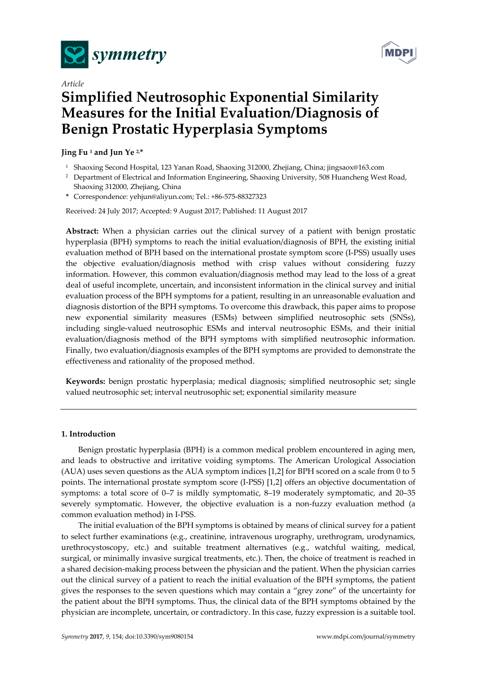



# *Article*  **Simplified Neutrosophic Exponential Similarity Measures for the Initial Evaluation/Diagnosis of Benign Prostatic Hyperplasia Symptoms**

## **Jing Fu 1 and Jun Ye 2,\***

- 1 Shaoxing Second Hospital, 123 Yanan Road, Shaoxing 312000, Zhejiang, China; jingsaox@163.com
- <sup>2</sup> Department of Electrical and Information Engineering, Shaoxing University, 508 Huancheng West Road, Shaoxing 312000, Zhejiang, China
- **\*** Correspondence: yehjun@aliyun.com; Tel.: +86-575-88327323

Received: 24 July 2017; Accepted: 9 August 2017; Published: 11 August 2017

**Abstract:** When a physician carries out the clinical survey of a patient with benign prostatic hyperplasia (BPH) symptoms to reach the initial evaluation/diagnosis of BPH, the existing initial evaluation method of BPH based on the international prostate symptom score (I-PSS) usually uses the objective evaluation/diagnosis method with crisp values without considering fuzzy information. However, this common evaluation/diagnosis method may lead to the loss of a great deal of useful incomplete, uncertain, and inconsistent information in the clinical survey and initial evaluation process of the BPH symptoms for a patient, resulting in an unreasonable evaluation and diagnosis distortion of the BPH symptoms. To overcome this drawback, this paper aims to propose new exponential similarity measures (ESMs) between simplified neutrosophic sets (SNSs), including single-valued neutrosophic ESMs and interval neutrosophic ESMs, and their initial evaluation/diagnosis method of the BPH symptoms with simplified neutrosophic information. Finally, two evaluation/diagnosis examples of the BPH symptoms are provided to demonstrate the effectiveness and rationality of the proposed method.

**Keywords:** benign prostatic hyperplasia; medical diagnosis; simplified neutrosophic set; single valued neutrosophic set; interval neutrosophic set; exponential similarity measure

## **1. Introduction**

Benign prostatic hyperplasia (BPH) is a common medical problem encountered in aging men, and leads to obstructive and irritative voiding symptoms. The American Urological Association (AUA) uses seven questions as the AUA symptom indices [1,2] for BPH scored on a scale from 0 to 5 points. The international prostate symptom score (I-PSS) [1,2] offers an objective documentation of symptoms: a total score of 0–7 is mildly symptomatic, 8–19 moderately symptomatic, and 20–35 severely symptomatic. However, the objective evaluation is a non-fuzzy evaluation method (a common evaluation method) in I-PSS.

The initial evaluation of the BPH symptoms is obtained by means of clinical survey for a patient to select further examinations (e.g., creatinine, intravenous urography, urethrogram, urodynamics, urethrocystoscopy, etc.) and suitable treatment alternatives (e.g., watchful waiting, medical, surgical, or minimally invasive surgical treatments, etc.). Then, the choice of treatment is reached in a shared decision-making process between the physician and the patient. When the physician carries out the clinical survey of a patient to reach the initial evaluation of the BPH symptoms, the patient gives the responses to the seven questions which may contain a "grey zone" of the uncertainty for the patient about the BPH symptoms. Thus, the clinical data of the BPH symptoms obtained by the physician are incomplete, uncertain, or contradictory. In this case, fuzzy expression is a suitable tool.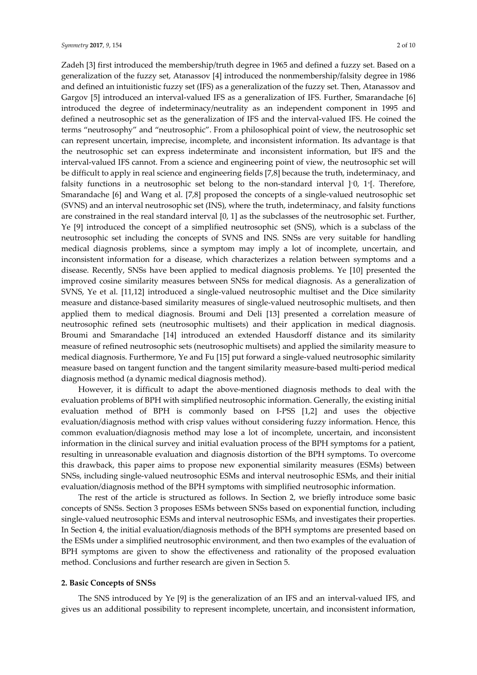Zadeh [3] first introduced the membership/truth degree in 1965 and defined a fuzzy set. Based on a generalization of the fuzzy set, Atanassov [4] introduced the nonmembership/falsity degree in 1986 and defined an intuitionistic fuzzy set (IFS) as a generalization of the fuzzy set. Then, Atanassov and Gargov [5] introduced an interval-valued IFS as a generalization of IFS. Further, Smarandache [6] introduced the degree of indeterminacy/neutrality as an independent component in 1995 and defined a neutrosophic set as the generalization of IFS and the interval-valued IFS. He coined the terms "neutrosophy" and "neutrosophic". From a philosophical point of view, the neutrosophic set can represent uncertain, imprecise, incomplete, and inconsistent information. Its advantage is that the neutrosophic set can express indeterminate and inconsistent information, but IFS and the interval-valued IFS cannot. From a science and engineering point of view, the neutrosophic set will be difficult to apply in real science and engineering fields [7,8] because the truth, indeterminacy, and falsity functions in a neutrosophic set belong to the non-standard interval ]−0, 1+[. Therefore, Smarandache [6] and Wang et al. [7,8] proposed the concepts of a single-valued neutrosophic set (SVNS) and an interval neutrosophic set (INS), where the truth, indeterminacy, and falsity functions are constrained in the real standard interval [0, 1] as the subclasses of the neutrosophic set. Further, Ye [9] introduced the concept of a simplified neutrosophic set (SNS), which is a subclass of the neutrosophic set including the concepts of SVNS and INS. SNSs are very suitable for handling medical diagnosis problems, since a symptom may imply a lot of incomplete, uncertain, and inconsistent information for a disease, which characterizes a relation between symptoms and a disease. Recently, SNSs have been applied to medical diagnosis problems. Ye [10] presented the improved cosine similarity measures between SNSs for medical diagnosis. As a generalization of SVNS, Ye et al. [11,12] introduced a single-valued neutrosophic multiset and the Dice similarity measure and distance-based similarity measures of single-valued neutrosophic multisets, and then applied them to medical diagnosis. Broumi and Deli [13] presented a correlation measure of neutrosophic refined sets (neutrosophic multisets) and their application in medical diagnosis. Broumi and Smarandache [14] introduced an extended Hausdorff distance and its similarity measure of refined neutrosophic sets (neutrosophic multisets) and applied the similarity measure to medical diagnosis. Furthermore, Ye and Fu [15] put forward a single-valued neutrosophic similarity measure based on tangent function and the tangent similarity measure-based multi-period medical diagnosis method (a dynamic medical diagnosis method).

However, it is difficult to adapt the above-mentioned diagnosis methods to deal with the evaluation problems of BPH with simplified neutrosophic information. Generally, the existing initial evaluation method of BPH is commonly based on I-PSS [1,2] and uses the objective evaluation/diagnosis method with crisp values without considering fuzzy information. Hence, this common evaluation/diagnosis method may lose a lot of incomplete, uncertain, and inconsistent information in the clinical survey and initial evaluation process of the BPH symptoms for a patient, resulting in unreasonable evaluation and diagnosis distortion of the BPH symptoms. To overcome this drawback, this paper aims to propose new exponential similarity measures (ESMs) between SNSs, including single-valued neutrosophic ESMs and interval neutrosophic ESMs, and their initial evaluation/diagnosis method of the BPH symptoms with simplified neutrosophic information.

The rest of the article is structured as follows. In Section 2, we briefly introduce some basic concepts of SNSs. Section 3 proposes ESMs between SNSs based on exponential function, including single-valued neutrosophic ESMs and interval neutrosophic ESMs, and investigates their properties. In Section 4, the initial evaluation/diagnosis methods of the BPH symptoms are presented based on the ESMs under a simplified neutrosophic environment, and then two examples of the evaluation of BPH symptoms are given to show the effectiveness and rationality of the proposed evaluation method. Conclusions and further research are given in Section 5.

#### **2. Basic Concepts of SNSs**

The SNS introduced by Ye [9] is the generalization of an IFS and an interval-valued IFS, and gives us an additional possibility to represent incomplete, uncertain, and inconsistent information,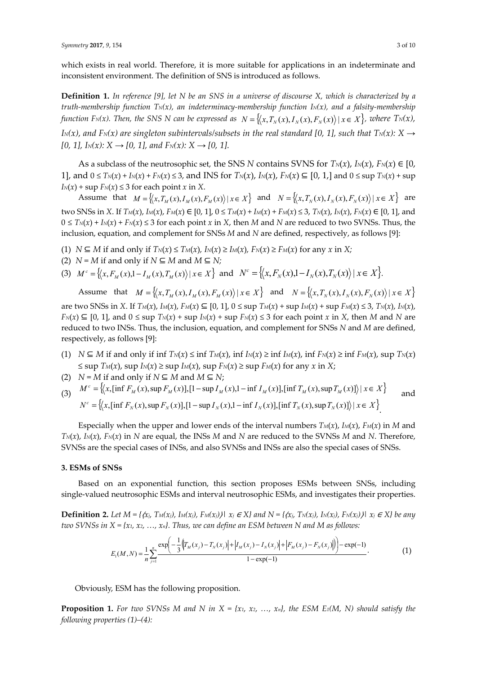which exists in real world. Therefore, it is more suitable for applications in an indeterminate and inconsistent environment. The definition of SNS is introduced as follows.

**Definition 1.** *In reference [9], let N be an SNS in a universe of discourse X, which is characterized by a truth-membership function*  $T_N(x)$ , an indeterminacy-membership function  $I_N(x)$ , and a falsity-membership *function F<sub>N(x)</sub>. Then, the SNS N can be expressed as*  $N = \{ (x, T_N(x), I_N(x), F_N(x)) | x \in X \}$ , where  $T_N(x)$ ,

*IN(x), and FN(x) are singleton subintervals/subsets in the real standard [0, 1], such that TN(x): X*  $\rightarrow$ *[0, 1], I<sub>N</sub>(x): X → [0, 1], and F<sub>N</sub>(x): X → [0, 1].* 

As a subclass of the neutrosophic set, the SNS *N* contains SVNS for  $T_N(x)$ ,  $I_N(x)$ ,  $F_N(x) \in [0,$ 1], and  $0 \le T_N(x) + I_N(x) + F_N(x) \le 3$ , and INS for  $T_N(x)$ ,  $I_N(x)$ ,  $F_N(x) \subseteq [0, 1]$  and  $0 \le \sup T_N(x) + \sup$  $I_N(x)$  + sup  $F_N(x) \leq 3$  for each point *x* in *X*.

Assume that  $M = \left\{ \left\langle x, T_M(x), I_M(x), F_M(x) \right\rangle | x \in X \right\}$  and  $N = \left\{ \left\langle x, T_N(x), I_N(x), F_N(x) \right\rangle | x \in X \right\}$  are two SNSs in X. If  $T_M(x)$ ,  $I_M(x)$ ,  $F_M(x) \in [0, 1]$ ,  $0 \le T_M(x) + I_M(x) + F_M(x) \le 3$ ,  $T_N(x)$ ,  $I_N(x)$ ,  $F_N(x) \in [0, 1]$ , and  $0 \leq T_N(x) + I_N(x) + F_N(x) \leq 3$  for each point *x* in *X*, then *M* and *N* are reduced to two SVNSs. Thus, the inclusion, equation, and complement for SNSs *M* and *N* are defined, respectively, as follows [9]:

- (1) *N* ⊆ *M* if and only if  $T_N(x)$  ≤  $T_M(x)$ ,  $I_N(x)$  ≥  $I_M(x)$ ,  $F_N(x)$  ≥  $F_M(x)$  for any *x* in *X*;
- (2)  $N = M$  if and only if  $N \subseteq M$  and  $M \subseteq N$ ;
- (3)  $M^c = \{(x, F_M(x), 1 I_M(x), T_M(x)) | x \in X\}$  and  $N^c = \{(x, F_N(x), 1 I_N(x), T_N(x)) | x \in X\}$ .

Assume that  $M = \{(x, T_M(x), I_M(x), F_M(x)) | x \in X\}$  and  $N = \{(x, T_N(x), I_N(x), F_N(x)) | x \in X\}$ are two SNSs in X. If  $T_M(x)$ ,  $I_M(x)$ ,  $F_M(x) \subseteq [0, 1]$ ,  $0 \leq$  sup  $T_M(x)$  + sup  $I_M(x)$  + sup  $F_M(x) \leq 3$ ,  $T_N(x)$ ,  $I_N(x)$ ,  $F_N(x) \subseteq [0, 1]$ , and  $0 \le \sup T_N(x) + \sup I_N(x) + \sup F_N(x) \le 3$  for each point *x* in *X*, then *M* and *N* are reduced to two INSs. Thus, the inclusion, equation, and complement for SNSs *N* and *M* are defined, respectively, as follows [9]:

- (1) *N* ⊆ *M* if and only if inf  $T_N(x)$  ≤ inf  $T_M(x)$ , inf  $I_N(x)$  ≥ inf  $I_M(x)$ , inf  $F_N(x)$  ≥ inf  $F_M(x)$ , sup  $T_N(x)$ ≤ sup  $T_M(x)$ , sup  $I_N(x)$  ≥ sup  $I_M(x)$ , sup  $F_N(x)$  ≥ sup  $F_M(x)$  for any  $x$  in  $X$ ;
- (2)  $N = M$  if and only if  $N \subseteq M$  and  $M \subseteq N$ ;
- (3)  $M^c = \left\{ (x, [\inf F_M(x), \sup F_M(x)] , [1 \sup I_M(x), 1 \inf I_M(x)] , [\inf T_M(x), \sup T_M(x)] \right\} | x \in X \right\}$  $N^{c} = \left\{ (x, [\inf F_{N}(x), \sup F_{N}(x)], [1 - \sup I_{N}(x), 1 - \inf I_{N}(x)], [\inf T_{N}(x), \sup T_{N}(x)] \right\} | x \in X \right\}$

Especially when the upper and lower ends of the interval numbers  $T_M(x)$ ,  $I_M(x)$ ,  $F_M(x)$  in M and  $T_N(x)$ ,  $I_N(x)$ ,  $F_N(x)$  in *N* are equal, the INSs *M* and *N* are reduced to the SVNSs *M* and *N*. Therefore, SVNSs are the special cases of INSs, and also SVNSs and INSs are also the special cases of SNSs.

## **3. ESMs of SNSs**

Based on an exponential function, this section proposes ESMs between SNSs, including single-valued neutrosophic ESMs and interval neutrosophic ESMs, and investigates their properties.

**Definition 2.** *Let*  $M = \{(\alpha_i, T_M(\alpha_i), I_M(\alpha_i), F_M(\alpha_i)) | \alpha_i \in X\}$  and  $N = \{(\alpha_i, T_N(\alpha_i), I_N(\alpha_i)) | \alpha_i \in X\}$  be any *two SVNSs in*  $X = \{x_1, x_2, ..., x_n\}$ . Thus, we can define an ESM between N and M as follows:

$$
E_1(M, N) = \frac{1}{n} \sum_{j=1}^n \frac{\exp\left(-\frac{1}{3} \left( \left| T_M(x_j) - T_N(x_j) \right| + \left| I_M(x_j) - I_N(x_j) \right| + \left| F_M(x_j) - F_N(x_j) \right| \right) \right) - \exp(-1)}{1 - \exp(-1)}.
$$
(1)

Obviously, ESM has the following proposition.

**Proposition 1.** For two SVNSs M and N in  $X = \{x_1, x_2, ..., x_n\}$ , the ESM E<sub>1</sub>(M, N) should satisfy the *following properties (1)–(4):*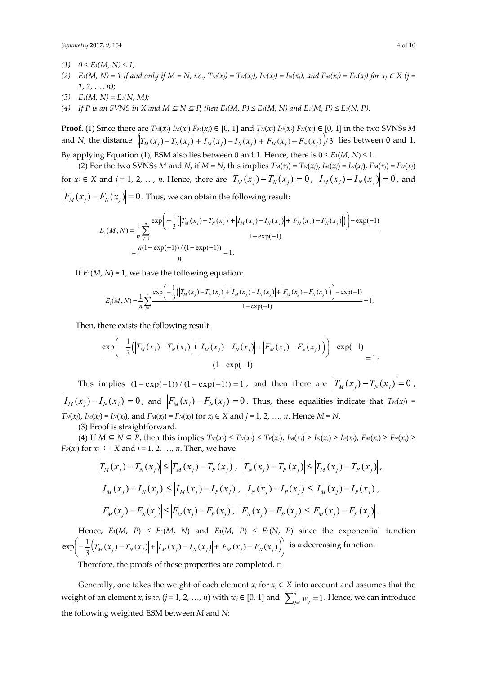*Symmetry* **2017**, *9*, 154 4 of 10

- $(1)$  *0* ≤ *E*<sub>1</sub>(*M*, *N*) ≤ 1;
- *(2)*  $E_1(M, N) = 1$  if and only if  $M = N$ , i.e.,  $T_M(x_i) = T_N(x_i)$ ,  $I_M(x_i) = I_N(x_i)$ , and  $F_M(x_i) = F_N(x_i)$  for  $x_i \in X$  (j = *1, 2, …, n);*
- (3)  $E_1(M, N) = E_1(N, M);$
- (4) If P is an SVNS in X and M  $\subseteq N \subseteq P$ , then  $E_1(M, P) \le E_1(M, N)$  and  $E_1(M, P) \le E_1(N, P)$ .

**Proof.** (1) Since there are  $T_M(x_i) I_M(x_i) F_M(x_i) \in [0, 1]$  and  $T_N(x_i) I_N(x_i) F_N(x_i) \in [0, 1]$  in the two SVNSs *M* and *N*, the distance  $\left|\left|\frac{T_M(x_i) - T_N(x_i)}{T_M(x_i) - I_N(x_i)}\right| + \left|\frac{F_M(x_i) - F_N(x_i)}{F_M(x_i) - F_N(x_i)}\right|\right|$  lies between 0 and 1.

By applying Equation (1), ESM also lies between 0 and 1. Hence, there is  $0 \le E_1(M, N) \le 1$ .

(2) For the two SVNSs *M* and *N*, if  $M = N$ , this implies  $T_M(x_j) = T_N(x_j)$ ,  $I_M(x_j) = I_N(x_j)$ ,  $F_M(x_j) = F_N(x_j)$ for  $x_j \in X$  and  $j = 1, 2, ..., n$ . Hence, there are  $|T_M(x_j) - T_N(x_j)| = 0$ ,  $|I_M(x_j) - I_N(x_j)| = 0$ , and

 $| F_M(x_j) - F_N(x_j) | = 0$ . Thus, we can obtain the following result:

$$
E_1(M, N) = \frac{1}{n} \sum_{j=1}^n \frac{\exp\left(-\frac{1}{3}(|T_M(x_j) - T_N(x_j)| + |I_M(x_j) - I_N(x_j)| + |F_M(x_j) - F_N(x_j)|)\right) - \exp(-1)}{1 - \exp(-1)}
$$
  
= 
$$
\frac{n(1 - \exp(-1)) / (1 - \exp(-1))}{n} = 1.
$$

If  $E_1(M, N) = 1$ , we have the following equation:

$$
E_1(M, N) = \frac{1}{n} \sum_{j=1}^n \frac{\exp\left(-\frac{1}{3} \left( \left|T_M(x_j) - T_N(x_j)\right| + \left|I_M(x_j) - I_N(x_j)\right| + \left|F_M(x_j) - F_N(x_j)\right|\right)\right) - \exp(-1)}{1 - \exp(-1)} = 1.
$$

Then, there exists the following result:

$$
\frac{\exp\left(-\frac{1}{3}(|T_M(x_j) - T_N(x_j)| + |I_M(x_j) - I_N(x_j)| + |F_M(x_j) - F_N(x_j)|)\right) - \exp(-1)}{(1 - \exp(-1))} = 1.
$$

This implies  $(1 - \exp(-1)) / (1 - \exp(-1)) = 1$ , and then there are  $|T_M(x_j) - T_N(x_j)| = 0$ ,  $|I_M(x_i) - I_N(x_i)| = 0$ , and  $|F_M(x_i) - F_N(x_i)| = 0$ . Thus, these equalities indicate that  $T_M(x_i) =$ *T*<sub>*N*</sub>(*x<sub>j</sub>*), *I*<sub>*M*</sub>(*x<sub>j</sub>*) = *I<sub>N</sub>*(*x<sub>j</sub>*), and *F<sub>M</sub>*(*x<sub>j</sub>*) = *F<sub>N</sub>*(*x<sub>j</sub>*) for *x<sub>j</sub>* ∈ *X* and *j* = 1, 2, …, *n*. Hence *M* = *N*.

(3) Proof is straightforward.

(4) If  $M \subseteq N \subseteq P$ , then this implies  $T_M(x_j) \leq T_N(x_j) \leq T_P(x_j)$ ,  $I_M(x_j) \geq I_N(x_j) \geq I_P(x_j)$ ,  $F_M(x_j) \geq F_N(x_j) \geq$ *FP*(*x<sub>j</sub>*) for  $x_j \in X$  and  $j = 1, 2, ..., n$ . Then, we have

$$
\left|T_M(x_j) - T_N(x_j)\right| \le \left|T_M(x_j) - T_P(x_j)\right|, \ \left|T_N(x_j) - T_P(x_j)\right| \le \left|T_M(x_j) - T_P(x_j)\right|,
$$
  

$$
\left|I_M(x_j) - I_N(x_j)\right| \le \left|I_M(x_j) - I_P(x_j)\right|, \ \left|I_N(x_j) - I_P(x_j)\right| \le \left|I_M(x_j) - I_P(x_j)\right|,
$$
  

$$
\left|F_M(x_j) - F_N(x_j)\right| \le \left|F_M(x_j) - F_P(x_j)\right|, \ \left|F_N(x_j) - F_P(x_j)\right| \le \left|F_M(x_j) - F_P(x_j)\right|.
$$

Hence,  $E_1(M, P) \leq E_1(M, N)$  and  $E_1(M, P) \leq E_1(N, P)$  since the exponential function  $\left\|\frac{T_M(x_i)-T_N(x_i)}{T_M(x_i)+|I_M(x_i)-I_N(x_i)|+|F_M(x_i)-F_N(x_i)|\right\}\right|$ J  $\left(-\frac{1}{2}\left|T_M(x_i) - T_N(x_i)\right| + \left|I_M(x_i) - I_N(x_i)\right| + \left|F_M(x_i) - F_N(x_i)\right|\right|$ l  $\exp\left(-\frac{1}{3}\left(\left|T_M(x_j)-T_N(x_j)\right|+\left|I_M(x_j)-I_N(x_j)\right|+\left|F_M(x_j)-F_N(x_j)\right|\right)\right)$  is a decreasing function.

Therefore, the proofs of these properties are completed. □

Generally, one takes the weight of each element  $x_j$  for  $x_j \in X$  into account and assumes that the weight of an element *x<sub>j</sub>* is *w<sub>j</sub>* (*j* = 1, 2, …, *n*) with *w<sub>j</sub>*  $\in$  [0, 1] and  $\sum_{j=1}^{n} w_j = 1$  $w_j^{\prime} = 1$ . Hence, we can introduce the following weighted ESM between *M* and *N*: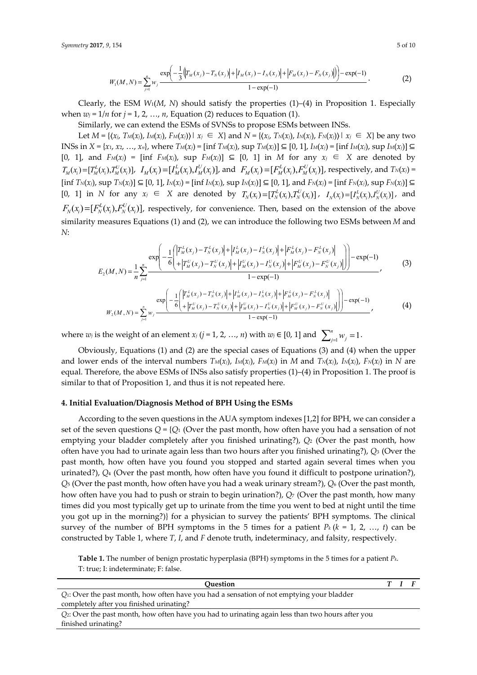$$
W_1(M,N) = \sum_{j=1}^n w_j \frac{\exp\left(-\frac{1}{3}\left(|T_M(x_j) - T_N(x_j)| + |I_M(x_j) - I_N(x_j)| + |F_M(x_j) - F_N(x_j)|\right)\right) - \exp(-1)}{1 - \exp(-1)}.
$$
 (2)

Clearly, the ESM *W*1(*M*, *N*) should satisfy the properties (1)–(4) in Proposition 1. Especially when  $w_j = 1/n$  for  $j = 1, 2, ..., n$ , Equation (2) reduces to Equation (1).

Similarly, we can extend the ESMs of SVNSs to propose ESMs between INSs.

Let  $M = \{ (x_i, T_M(x_i), I_M(x_i), F_M(x_i)) \mid x_i \in X \}$  and  $N = \{ (x_i, T_N(x_i), I_N(x_i), F_N(x_i)) \mid x_i \in X \}$  be any two INSs in  $X = \{x_1, x_2, ..., x_n\}$ , where  $T_M(x_j) = \{ \inf T_M(x_j), \sup T_M(x_j) \} \subseteq [0, 1], L_M(x_j) = \{ \inf I_M(x_j), \sup I_M(x_j) \} \subseteq$ [0, 1], and *FM*(*xj*) = [inf *FM*(*xj*), sup *FM*(*xj*)] ⊆ [0, 1] in *M* for any *xj* ∈ *X* are denoted by  $T_M(x_i) = [T_M^L(x_i), T_M^U(x_i)], \ \ I_M(x_i) = [T_M^L(x_i), T_M^U(x_i)],$  and  $F_M(x_i) = [F_M^L(x_i), F_M^U(x_i)],$  respectively, and  $T_N(x_i) =$ [inf  $T_N(x_j)$ , sup  $T_N(x_j)$ ]  $\subseteq$  [0, 1],  $I_N(x_j)$  = [inf  $I_N(x_j)$ , sup  $I_N(x_j)$ ]  $\subseteq$  [0, 1], and  $F_N(x_j)$  = [inf  $F_N(x_j)$ , sup  $F_N(x_j)$ ]  $\subseteq$  $[0, 1]$  in N for any  $x_i \in X$  are denoted by  $T_N(x_i) = [T_N^L(x_i), T_N^U(x_i)]$ ,  $I_N(x_i) = [I_N^L(x_i), I_N^U(x_i)]$ , and  $F_N(x_i) = [F_N^L(x_i), F_N^U(x_i)]$ , respectively, for convenience. Then, based on the extension of the above similarity measures Equations (1) and (2), we can introduce the following two ESMs between *M* and *N*:

$$
E_2(M, N) = \frac{1}{n} \sum_{j=1}^n \frac{\exp\left(-\frac{1}{6} \left| \left| \frac{T_M^L(x_j) - T_N^L(x_j)}{\left| + \left| T_M^U(x_j) - T_N^U(x_j) \right| + \left| I_M^U(x_j) - I_N^U(x_j) \right| + \left| F_M^U(x_j) - F_N^U(x_j) \right| \right| \right) \right) - \exp(-1)}{1 - \exp(-1)} \n\frac{\exp\left(-\frac{1}{6} \left| \frac{T_M^L(x_j) - T_N^L(x_j)}{\left| + \left| T_M^U(x_j) - T_N^U(x_j) \right| + \left| I_M^L(x_j) - I_N^U(x_j) \right| + \left| F_M^U(x_j) - F_N^U(x_j) \right| \right| \right)}{1 - \exp(-1)} \nW_2(M, N) = \sum_{j=1}^n w_j \frac{\exp\left(-\frac{1}{6} \left| \frac{T_M^L(x_j) - T_N^L(x_j)}{\left| + \left| T_M^U(x_j) - T_N^U(x_j) \right| + \left| I_M^U(x_j) - I_N^U(x_j) \right| + \left| F_M^U(x_j) - F_N^U(x_j) \right| \right| \right) \right) - \exp(-1)}{1 - \exp(-1)}
$$
\n(4)

where  $w_j$  is the weight of an element  $x_j$  ( $j = 1, 2, ..., n$ ) with  $w_j \in [0, 1]$  and  $\sum_{j=1}^n w_j = 1$  $\sum_{j=1}^{n} w_j = 1.$ 

Obviously, Equations (1) and (2) are the special cases of Equations (3) and (4) when the upper and lower ends of the interval numbers  $T_M(x_j)$ ,  $I_M(x_j)$ ,  $F_M(x_j)$  in *M* and  $T_N(x_j)$ ,  $I_N(x_j)$ ,  $F_N(x_j)$  in *N* are equal. Therefore, the above ESMs of INSs also satisfy properties (1)–(4) in Proposition 1. The proof is similar to that of Proposition 1, and thus it is not repeated here.

#### **4. Initial Evaluation/Diagnosis Method of BPH Using the ESMs**

According to the seven questions in the AUA symptom indexes [1,2] for BPH, we can consider a set of the seven questions  $Q = \{Q_1 \}$  (Over the past month, how often have you had a sensation of not emptying your bladder completely after you finished urinating?), *Q*2 (Over the past month, how often have you had to urinate again less than two hours after you finished urinating?), *Q*3 (Over the past month, how often have you found you stopped and started again several times when you urinated?), *Q*4 (Over the past month, how often have you found it difficult to postpone urination?), *Q*5 (Over the past month, how often have you had a weak urinary stream?), *Q*6 (Over the past month, how often have you had to push or strain to begin urination?), *Q*7 (Over the past month, how many times did you most typically get up to urinate from the time you went to bed at night until the time you got up in the morning?)} for a physician to survey the patients' BPH symptoms. The clinical survey of the number of BPH symptoms in the 5 times for a patient  $P_k$  ( $k = 1, 2, ..., t$ ) can be constructed by Table 1, where *T*, *I*, and *F* denote truth, indeterminacy, and falsity, respectively.

**Table 1.** The number of benign prostatic hyperplasia (BPH) symptoms in the 5 times for a patient *Pk*. T: true; I: indeterminate; F: false.

| Ouestion                                                                                              |  |  |
|-------------------------------------------------------------------------------------------------------|--|--|
| Q <sub>1</sub> : Over the past month, how often have you had a sensation of not emptying your bladder |  |  |
| completely after you finished urinating?                                                              |  |  |
| Q: Over the past month, how often have you had to urinating again less than two hours after you       |  |  |
| finished urinating?                                                                                   |  |  |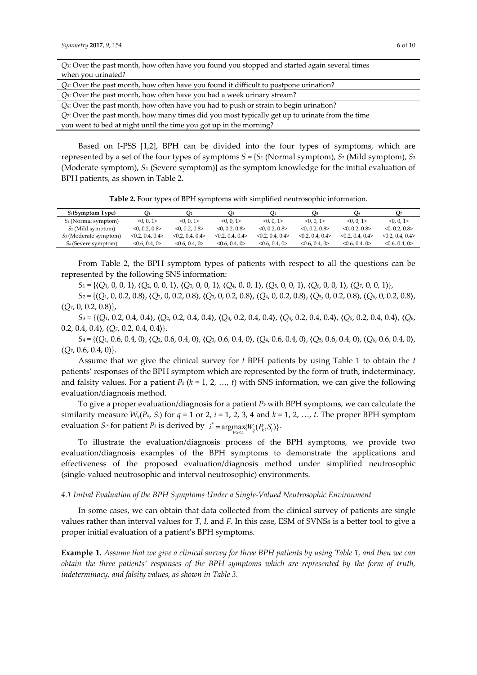| Q <sub>3</sub> : Over the past month, how often have you found you stopped and started again several times |
|------------------------------------------------------------------------------------------------------------|
| when you urinated?                                                                                         |
| $Q_4$ : Over the past month, how often have you found it difficult to postpone urination?                  |
| $Q5$ : Over the past month, how often have you had a week urinary stream?                                  |
| $Q_6$ : Over the past month, how often have you had to push or strain to begin urination?                  |
| $Q$ . Over the past month, how many times did you most typically get up to urinate from the time           |
| you went to bed at night until the time you got up in the morning?                                         |

Based on I-PSS [1,2], BPH can be divided into the four types of symptoms, which are represented by a set of the four types of symptoms  $S = \{S_1 \text{ (Normal symptom)}, S_2 \text{ (Mild symptom)}, S_3 \}$ (Moderate symptom), *S*4 (Severe symptom)} as the symptom knowledge for the initial evaluation of BPH patients, as shown in Table 2.

**Table 2.** Four types of BPH symptoms with simplified neutrosophic information.

| $S_i$ (Symptom Type)            | $\mathbf{O}_1$    | U2                | U3                | O4                | U <sub>5</sub>    | Q6                | O <sub>7</sub>    |
|---------------------------------|-------------------|-------------------|-------------------|-------------------|-------------------|-------------------|-------------------|
| $S_1$ (Normal symptom)          | 0, 0, 1           | 0, 0, 1           | <0.0.1>           | 0, 0, 1           | 0, 0, 1           | < 0.01            | 0, 0, 1           |
| $S_2$ (Mild symptom)            | $<$ 0.2, 0.8 $>$  | < 0.02008 >       | < 0.02008 >       | $<$ 0.2, 0.8 $>$  | < 0.02008 >       | $<$ 0.2, 0.8 $>$  | $<$ 0.2, 0.8 $>$  |
| $S_3$ (Moderate symptom)        | < 0.2, 0.4, 0.4 > | < 0.2, 0.4, 0.4 > | < 0.2, 0.4, 0.4 > | < 0.2, 0.4, 0.4 > | < 0.2, 0.4, 0.4 > | < 0.2, 0.4, 0.4 > | < 0.2, 0.4, 0.4 > |
| S <sub>4</sub> (Severe symptom) | < 0.6, 0.4, 0>    | < 0.6, 0.4, 0>    | < 0.6, 0.4, 0>    | <0.6, 0.4, 0>     | <0.6, 0.4, 0>     | < 0.6, 0.4, 0>    | <0.6, 0.4, 0>     |
|                                 |                   |                   |                   |                   |                   |                   |                   |

From Table 2, the BPH symptom types of patients with respect to all the questions can be represented by the following SNS information:

*S*1 = {〈*Q*1, 0, 0, 1〉, 〈*Q*2, 0, 0, 1〉, 〈*Q*3, 0, 0, 1〉, 〈*Q*4, 0, 0, 1〉, 〈*Q*5, 0, 0, 1〉, 〈*Q*6, 0, 0, 1〉, 〈*Q*7, 0, 0, 1〉},

*S*2 = {〈*Q*1, 0, 0.2, 0.8〉, 〈*Q*2, 0, 0.2, 0.8〉, 〈*Q*3, 0, 0.2, 0.8〉, 〈*Q*4, 0, 0.2, 0.8〉, 〈*Q*5, 0, 0.2, 0.8〉, 〈*Q*6, 0, 0.2, 0.8〉, 〈*Q*7, 0, 0.2, 0.8〉},

*S*3 = {〈*Q*1, 0.2, 0.4, 0.4〉, 〈*Q*2, 0.2, 0.4, 0.4〉, 〈*Q*3, 0.2, 0.4, 0.4〉, 〈*Q*4, 0.2, 0.4, 0.4〉, 〈*Q*5, 0.2, 0.4, 0.4〉, 〈*Q*6, 0.2, 0.4, 0.4〉, 〈*Q*7, 0.2, 0.4, 0.4〉}.

*S*4 = {〈*Q*1, 0.6, 0.4, 0〉, 〈*Q*2, 0.6, 0.4, 0〉, 〈*Q*3, 0.6, 0.4, 0〉, 〈*Q*4, 0.6, 0.4, 0〉, 〈*Q*5, 0.6, 0.4, 0〉, 〈*Q*6, 0.6, 0.4, 0〉,  $\langle Q_7, 0.6, 0.4, 0 \rangle$ .

Assume that we give the clinical survey for *t* BPH patients by using Table 1 to obtain the *t* patients' responses of the BPH symptom which are represented by the form of truth, indeterminacy, and falsity values. For a patient  $P_k$  ( $k = 1, 2, ..., t$ ) with SNS information, we can give the following evaluation/diagnosis method.

To give a proper evaluation/diagnosis for a patient *Pk* with BPH symptoms, we can calculate the similarity measure  $W_q(P_k, S_i)$  for  $q = 1$  or 2,  $i = 1, 2, 3, 4$  and  $k = 1, 2, ..., t$ . The proper BPH symptom  $\text{evaluation } S_{i^*} \text{ for patient } P_k \text{ is derived by } i^* = \underset{1 \le i \le 4}{\text{argmax}} \{W_q(P_k, S_i)\}$ .

To illustrate the evaluation/diagnosis process of the BPH symptoms, we provide two evaluation/diagnosis examples of the BPH symptoms to demonstrate the applications and effectiveness of the proposed evaluation/diagnosis method under simplified neutrosophic (single-valued neutrosophic and interval neutrosophic) environments.

#### *4.1 Initial Evaluation of the BPH Symptoms Under a Single-Valued Neutrosophic Environment*

In some cases, we can obtain that data collected from the clinical survey of patients are single values rather than interval values for *T*, *I*, and *F*. In this case, ESM of SVNSs is a better tool to give a proper initial evaluation of a patient's BPH symptoms.

**Example 1.** *Assume that we give a clinical survey for three BPH patients by using Table 1, and then we can obtain the three patients' responses of the BPH symptoms which are represented by the form of truth, indeterminacy, and falsity values, as shown in Table 3.*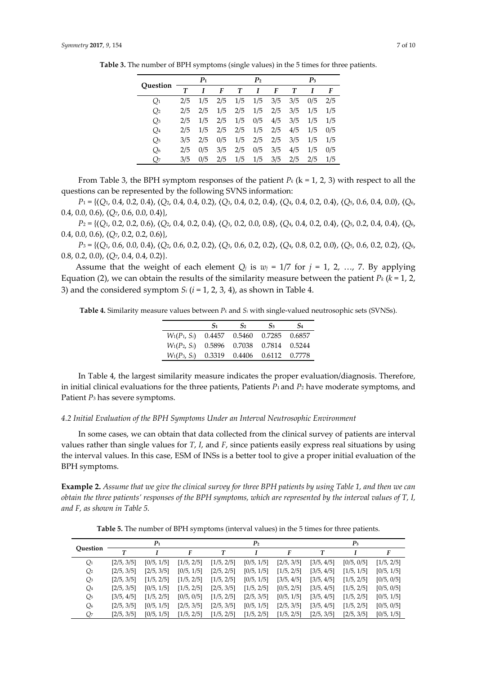|                |     | P <sub>1</sub> |     |     | P <sub>2</sub> |     |     | $P_3$ |     |
|----------------|-----|----------------|-----|-----|----------------|-----|-----|-------|-----|
| Ouestion       | Т   |                | F   | Т   | I              | F   | Т   |       | F   |
| $Q_1$          | 2/5 | 1/5            | 2/5 | 1/5 | 1/5            | 3/5 | 3/5 | 0/5   | 2/5 |
| Q <sub>2</sub> | 2/5 | 2/5            | 1/5 | 2/5 | 1/5            | 2/5 | 3/5 | 1/5   | 1/5 |
| $Q_3$          | 2/5 | 1/5            | 2/5 | 1/5 | 0/5            | 4/5 | 3/5 | 1/5   | 1/5 |
| $Q_4$          | 2/5 | 1/5            | 2/5 | 2/5 | 1/5            | 2/5 | 4/5 | 1/5   | 0/5 |
| $Q_5$          | 3/5 | 2/5            | 0/5 | 1/5 | 2/5            | 2/5 | 3/5 | 1/5   | 1/5 |
| $Q_6$          | 2/5 | 0/5            | 3/5 | 2/5 | 0/5            | 3/5 | 4/5 | 1/5   | 0/5 |
| Q7             | 3/5 | 0/5            | 2/5 | 1/5 | 1/5            | 3/5 | 2/5 | 2/5   | 1/5 |

**Table 3.** The number of BPH symptoms (single values) in the 5 times for three patients.

From Table 3, the BPH symptom responses of the patient  $P_k$  ( $k = 1, 2, 3$ ) with respect to all the questions can be represented by the following SVNS information:

*P*1 = {〈*Q*1, 0.4, 0.2, 0.4〉, 〈*Q*2, 0.4, 0.4, 0.2〉, 〈*Q*3, 0.4, 0.2, 0.4〉, 〈*Q*4, 0.4, 0.2, 0.4〉, 〈*Q*5, 0.6, 0.4, 0.0〉, 〈*Q*6, 0.4, 0.0, 0.6〉, 〈*Q*7, 0.6, 0.0, 0.4〉},

*P*2 = {〈*Q*1, 0.2, 0.2, 0.6〉, 〈*Q*2, 0.4, 0.2, 0.4〉, 〈*Q*3, 0.2, 0.0, 0.8〉, 〈*Q*4, 0.4, 0.2, 0.4〉, 〈*Q*5, 0.2, 0.4, 0.4〉, 〈*Q*6, 0.4, 0.0, 0.6〉, 〈*Q*7, 0.2, 0.2, 0.6〉},

*P*3 = {〈*Q*1, 0.6, 0.0, 0.4〉, 〈*Q*2, 0.6, 0.2, 0.2〉, 〈*Q*3, 0.6, 0.2, 0.2〉, 〈*Q*4, 0.8, 0.2, 0.0〉, 〈*Q*5, 0.6, 0.2, 0.2〉, 〈*Q*6, 0.8, 0.2, 0.0〉, 〈*Q*7, 0.4, 0.4, 0.2〉}.

Assume that the weight of each element  $Q_j$  is  $w_j = 1/7$  for  $j = 1, 2, ..., 7$ . By applying Equation (2), we can obtain the results of the similarity measure between the patient  $P_k$  ( $k = 1, 2,$ 3) and the considered symptom *Si* (*i* = 1, 2, 3, 4), as shown in Table 4.

**Table 4.** Similarity measure values between *Pk* and *Si* with single-valued neutrosophic sets (SVNSs).

|                 | $S_1$                          | S <sub>2</sub> | S <sub>3</sub>              | S <sub>4</sub> |
|-----------------|--------------------------------|----------------|-----------------------------|----------------|
| $W_1(P_1, S_i)$ | 0.4457  0.5460  0.7285  0.6857 |                |                             |                |
| $W_1(P_2, S_i)$ |                                |                | 0.5896 0.7038 0.7814 0.5244 |                |
| $W_1(P_3, S_i)$ |                                |                | 0.3319 0.4406 0.6112 0.7778 |                |

In Table 4, the largest similarity measure indicates the proper evaluation/diagnosis. Therefore, in initial clinical evaluations for the three patients, Patients *P*1 and *P*2 have moderate symptoms, and Patient *P*3 has severe symptoms.

#### *4.2 Initial Evaluation of the BPH Symptoms Under an Interval Neutrosophic Environment*

In some cases, we can obtain that data collected from the clinical survey of patients are interval values rather than single values for *T*, *I*, and *F*, since patients easily express real situations by using the interval values. In this case, ESM of INSs is a better tool to give a proper initial evaluation of the BPH symptoms.

**Example 2.** *Assume that we give the clinical survey for three BPH patients by using Table 1, and then we can obtain the three patients' responses of the BPH symptoms, which are represented by the interval values of T, I, and F, as shown in Table 5.*

**Table 5.** The number of BPH symptoms (interval values) in the 5 times for three patients.

| Ouestion       |            | $P_1$      |            |            | P <sub>2</sub> |            |            | $P_3$      |            |
|----------------|------------|------------|------------|------------|----------------|------------|------------|------------|------------|
|                |            |            | F          |            |                |            |            |            |            |
| $Q_1$          | [2/5, 3/5] | [0/5, 1/5] | [1/5, 2/5] | [1/5, 2/5] | [0/5, 1/5]     | [2/5, 3/5] | [3/5, 4/5] | [0/5, 0/5] | [1/5, 2/5] |
| $Q_2$          | [2/5, 3/5] | [2/5, 3/5] | [0/5, 1/5] | [2/5, 2/5] | [0/5, 1/5]     | [1/5, 2/5] | [3/5, 4/5] | [1/5, 1/5] | [0/5, 1/5] |
| Qз             | [2/5, 3/5] | [1/5, 2/5] | [1/5, 2/5] | [1/5, 2/5] | [0/5, 1/5]     | [3/5, 4/5] | [3/5, 4/5] | [1/5, 2/5] | [0/5, 0/5] |
| Q <sub>4</sub> | [2/5, 3/5] | [0/5, 1/5] | [1/5, 2/5] | [2/5, 3/5] | [1/5, 2/5]     | [0/5, 2/5] | [3/5, 4/5] | [1/5, 2/5] | [0/5, 0/5] |
| Q <sub>5</sub> | [3/5, 4/5] | [1/5, 2/5] | [0/5, 0/5] | [1/5, 2/5] | [2/5, 3/5]     | [0/5, 1/5] | [3/5, 4/5] | [1/5, 2/5] | [0/5, 1/5] |
| Q <sub>6</sub> | [2/5, 3/5] | [0/5, 1/5] | [2/5, 3/5] | [2/5, 3/5] | [0/5, 1/5]     | [2/5, 3/5] | [3/5, 4/5] | [1/5, 2/5] | [0/5, 0/5] |
| Q7             | [2/5, 3/5] | [0/5, 1/5] | [1/5, 2/5] | [1/5, 2/5] | [1/5, 2/5]     | [1/5, 2/5] | [2/5, 3/5] | [2/5, 3/5] | [0/5, 1/5] |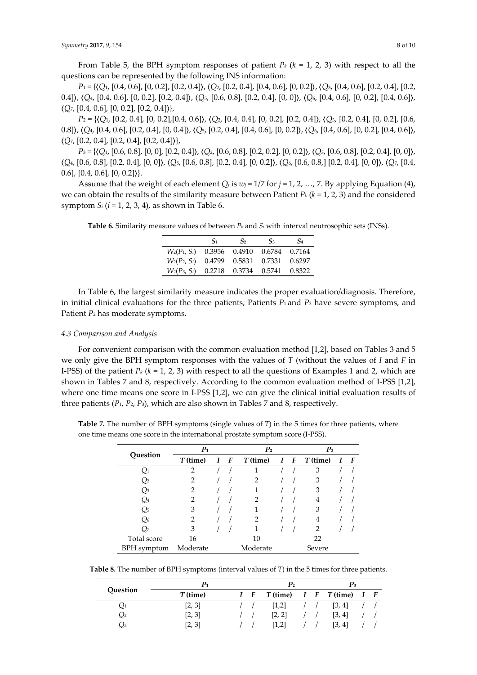From Table 5, the BPH symptom responses of patient  $P_k$  ( $k = 1, 2, 3$ ) with respect to all the questions can be represented by the following INS information:

*P*1 = {〈*Q*1, [0.4, 0.6], [0, 0.2], [0.2, 0.4]〉, 〈*Q*2, [0.2, 0.4], [0.4, 0.6], [0, 0.2]〉, 〈*Q*3, [0.4, 0.6], [0.2, 0.4], [0.2, 0.4]〉, 〈*Q*4, [0.4, 0.6], [0, 0.2], [0.2, 0.4]〉, 〈*Q*5, [0.6, 0.8], [0.2, 0.4], [0, 0]〉, 〈*Q*6, [0.4, 0.6], [0, 0.2], [0.4, 0.6]〉, 〈*Q*7, [0.4, 0.6], [0, 0.2], [0.2, 0.4]〉},

*P*2 = {〈*Q*1, [0.2, 0.4], [0, 0.2],[0.4, 0.6]〉, 〈*Q*2, [0.4, 0.4], [0, 0.2], [0.2, 0.4]〉, 〈*Q*3, [0.2, 0.4], [0, 0.2], [0.6, 0.8]〉, 〈*Q*4, [0.4, 0.6], [0.2, 0.4], [0, 0.4]〉, 〈*Q*5, [0.2, 0.4], [0.4, 0.6], [0, 0.2]〉, 〈*Q*6, [0.4, 0.6], [0, 0.2], [0.4, 0.6]〉, 〈*Q*7, [0.2, 0.4], [0.2, 0.4], [0.2, 0.4]〉},

*P*3 = {〈*Q*1, [0.6, 0.8], [0, 0], [0.2, 0.4]〉, 〈*Q*2, [0.6, 0.8], [0.2, 0.2], [0, 0.2]〉, 〈*Q*3, [0.6, 0.8], [0.2, 0.4], [0, 0]〉, 〈*Q*4, [0.6, 0.8], [0.2, 0.4], [0, 0]〉, 〈*Q*5, [0.6, 0.8], [0.2, 0.4], [0, 0.2]〉, 〈*Q*6, [0.6, 0.8,] [0.2, 0.4], [0, 0]〉, 〈*Q*7, [0.4, 0.6], [0.4, 0.6], [0, 0.2]〉}.

Assume that the weight of each element  $Q_i$  is  $w_j = 1/7$  for  $j = 1, 2, ..., 7$ . By applying Equation (4), we can obtain the results of the similarity measure between Patient *Pk* (*k* = 1, 2, 3) and the considered symptom  $S_i$  ( $i = 1, 2, 3, 4$ ), as shown in Table 6.

**Table 6.** Similarity measure values of between *Pk* and *Si* with interval neutrosophic sets (INSs).

|                                             | $S_1$ | S <sub>2</sub>           | S <sub>3</sub> | S <sub>4</sub> |
|---------------------------------------------|-------|--------------------------|----------------|----------------|
| $W_2(P_1, S_i)$ 0.3956 0.4910 0.6784 0.7164 |       |                          |                |                |
| $W_2(P_2, S_i)$                             |       | 0.4799   0.5831   0.7331 |                | 0.6297         |
| $W_2(P_3, S_i)$ 0.2718 0.3734 0.5741        |       |                          |                | 0.8322         |

In Table 6, the largest similarity measure indicates the proper evaluation/diagnosis. Therefore, in initial clinical evaluations for the three patients, Patients *P*1 and *P*3 have severe symptoms, and Patient *P*2 has moderate symptoms.

#### *4.3 Comparison and Analysis*

For convenient comparison with the common evaluation method [1,2], based on Tables 3 and 5 we only give the BPH symptom responses with the values of *T* (without the values of *I* and *F* in I-PSS) of the patient  $P_k$  ( $k = 1, 2, 3$ ) with respect to all the questions of Examples 1 and 2, which are shown in Tables 7 and 8, respectively. According to the common evaluation method of I-PSS [1,2], where one time means one score in I-PSS [1,2], we can give the clinical initial evaluation results of three patients (*P*1, *P*2, *P*3), which are also shown in Tables 7 and 8, respectively.

**Table 7.** The number of BPH symptoms (single values of *T*) in the 5 times for three patients, where one time means one score in the international prostate symptom score (I-PSS).

|             | $P_1$          |  |                  | P <sub>2</sub> | $P_3$       |          |  |                |
|-------------|----------------|--|------------------|----------------|-------------|----------|--|----------------|
| Question    | $T$ (time)     |  | $\boldsymbol{F}$ | T (time)       | $I \quad F$ | T (time) |  | $\overline{F}$ |
| $Q_1$       | $\overline{2}$ |  |                  |                |             | 3        |  |                |
| Q2          | 2              |  |                  | 2              |             | 3        |  |                |
| Qз          | 2              |  |                  |                |             | 3        |  |                |
| Q4          | 2              |  |                  | 2              |             | 4        |  |                |
| Q5          | 3              |  |                  |                |             | 3        |  |                |
| Q6          | 2              |  |                  | 2              |             | 4        |  |                |
| Q7          | 3              |  |                  |                |             | 2        |  |                |
| Total score | 16             |  |                  | 10             |             | 22       |  |                |
| BPH symptom | Moderate       |  |                  | Moderate       |             | Severe   |  |                |

**Table 8.** The number of BPH symptoms (interval values of *T*) in the 5 times for three patients.

| Question | P1         |             | P <sub>2</sub> |  | $\mathbf{p}_3$     |             |
|----------|------------|-------------|----------------|--|--------------------|-------------|
|          | $T$ (time) | $I \quad F$ | $T$ (time)     |  | $I \tF$ $T$ (time) | $I \quad F$ |
| Q1       | [2, 3]     |             | [1,2]          |  | [3, 4]             |             |
| Q2       | [2, 3]     |             | [2, 2]         |  | [3, 4]             |             |
| Qз       | [2, 3]     |             | [1,2]          |  | [3, 4]             |             |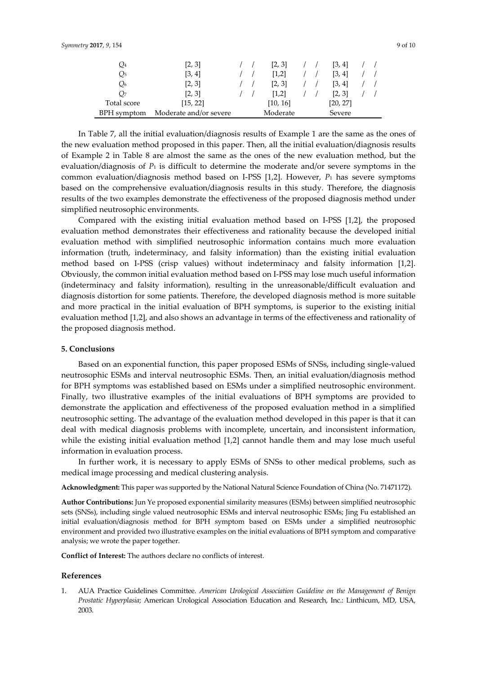| Q <sub>4</sub> | [2, 3]                 |  | [2, 3]   |  | [3, 4]   |  |
|----------------|------------------------|--|----------|--|----------|--|
| Q5             | [3, 4]                 |  | [1,2]    |  | [3, 4]   |  |
| Q <sub>6</sub> | [2, 3]                 |  | [2, 3]   |  | [3, 4]   |  |
| О7             | [2, 3]                 |  | [1,2]    |  | [2, 3]   |  |
| Total score    | [15, 22]               |  | [10, 16] |  | [20, 27] |  |
| BPH symptom    | Moderate and/or severe |  | Moderate |  | Severe   |  |

In Table 7, all the initial evaluation/diagnosis results of Example 1 are the same as the ones of the new evaluation method proposed in this paper. Then, all the initial evaluation/diagnosis results of Example 2 in Table 8 are almost the same as the ones of the new evaluation method, but the evaluation/diagnosis of  $P_1$  is difficult to determine the moderate and/or severe symptoms in the common evaluation/diagnosis method based on I-PSS [1,2]. However, *P*1 has severe symptoms based on the comprehensive evaluation/diagnosis results in this study. Therefore, the diagnosis results of the two examples demonstrate the effectiveness of the proposed diagnosis method under simplified neutrosophic environments.

Compared with the existing initial evaluation method based on I-PSS [1,2], the proposed evaluation method demonstrates their effectiveness and rationality because the developed initial evaluation method with simplified neutrosophic information contains much more evaluation information (truth, indeterminacy, and falsity information) than the existing initial evaluation method based on I-PSS (crisp values) without indeterminacy and falsity information [1,2]. Obviously, the common initial evaluation method based on I-PSS may lose much useful information (indeterminacy and falsity information), resulting in the unreasonable/difficult evaluation and diagnosis distortion for some patients. Therefore, the developed diagnosis method is more suitable and more practical in the initial evaluation of BPH symptoms, is superior to the existing initial evaluation method [1,2], and also shows an advantage in terms of the effectiveness and rationality of the proposed diagnosis method.

## **5. Conclusions**

Based on an exponential function, this paper proposed ESMs of SNSs, including single-valued neutrosophic ESMs and interval neutrosophic ESMs. Then, an initial evaluation/diagnosis method for BPH symptoms was established based on ESMs under a simplified neutrosophic environment. Finally, two illustrative examples of the initial evaluations of BPH symptoms are provided to demonstrate the application and effectiveness of the proposed evaluation method in a simplified neutrosophic setting. The advantage of the evaluation method developed in this paper is that it can deal with medical diagnosis problems with incomplete, uncertain, and inconsistent information, while the existing initial evaluation method [1,2] cannot handle them and may lose much useful information in evaluation process.

In further work, it is necessary to apply ESMs of SNSs to other medical problems, such as medical image processing and medical clustering analysis.

**Acknowledgment:** This paper was supported by the National Natural Science Foundation of China (No. 71471172).

**Author Contributions:** Jun Ye proposed exponential similarity measures (ESMs) between simplified neutrosophic sets (SNSs), including single valued neutrosophic ESMs and interval neutrosophic ESMs; Jing Fu established an initial evaluation/diagnosis method for BPH symptom based on ESMs under a simplified neutrosophic environment and provided two illustrative examples on the initial evaluations of BPH symptom and comparative analysis; we wrote the paper together.

**Conflict of Interest:** The authors declare no conflicts of interest.

#### **References**

1. AUA Practice Guidelines Committee. *American Urological Association Guideline on the Management of Benign Prostatic Hyperplasia*; American Urological Association Education and Research, Inc.: Linthicum, MD, USA, 2003.